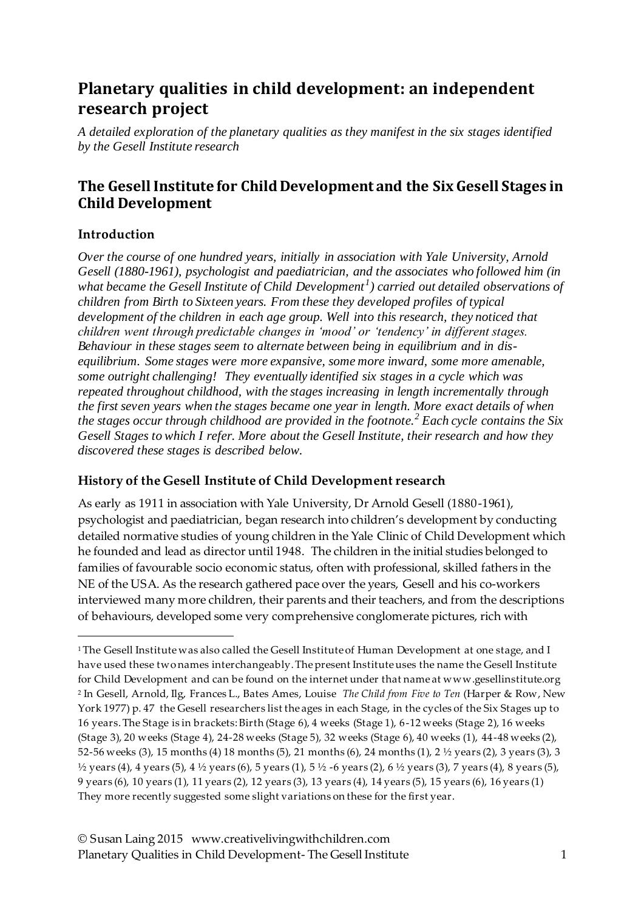# **Planetary qualities in child development: an independent research project**

*A detailed exploration of the planetary qualities as they manifest in the six stages identified by the Gesell Institute research*

## **The Gesell Institute for Child Development and the Six Gesell Stages in Child Development**

### **Introduction**

 $\overline{a}$ 

*Over the course of one hundred years, initially in association with Yale University, Arnold Gesell (1880-1961), psychologist and paediatrician, and the associates who followed him (in what became the Gesell Institute of Child Development<sup>1</sup> ) carried out detailed observations of children from Birth to Sixteen years. From these they developed profiles of typical development of the children in each age group. Well into this research, they noticed that children went through predictable changes in 'mood' or 'tendency' in different stages. Behaviour in these stages seem to alternate between being in equilibrium and in disequilibrium. Some stages were more expansive, some more inward, some more amenable, some outright challenging! They eventually identified six stages in a cycle which was repeated throughout childhood, with the stages increasing in length incrementally through the first seven years when the stages became one year in length. More exact details of when the stages occur through childhood are provided in the footnote.<sup>2</sup> Each cycle contains the Six Gesell Stages to which I refer. More about the Gesell Institute, their research and how they discovered these stages is described below.* 

### **History of the Gesell Institute of Child Development research**

As early as 1911 in association with Yale University, Dr Arnold Gesell (1880-1961), psychologist and paediatrician, began research into children's development by conducting detailed normative studies of young children in the Yale Clinic of Child Development which he founded and lead as director until 1948. The children in the initial studies belonged to families of favourable socio economic status, often with professional, skilled fathers in the NE of the USA. As the research gathered pace over the years, Gesell and his co-workers interviewed many more children, their parents and their teachers, and from the descriptions of behaviours, developed some very comprehensive conglomerate pictures, rich with

<sup>&</sup>lt;sup>1</sup> The Gesell Institute was also called the Gesell Institute of Human Development at one stage, and I have used these two names interchangeably. The present Institute uses the name the Gesell Institute for Child Development and can be found on the internet under that name at www.gesellinstitute.org <sup>2</sup> In Gesell, Arnold, Ilg, Frances L., Bates Ames, Louise *The Child from Five to Ten* (Harper & Row, New York 1977) p. 47 the Gesell researchers list the ages in each Stage, in the cycles of the Six Stages up to 16 years. The Stage is in brackets: Birth (Stage 6), 4 weeks (Stage 1), 6-12 weeks (Stage 2), 16 weeks (Stage 3), 20 weeks (Stage 4), 24-28 weeks (Stage 5), 32 weeks (Stage 6), 40 weeks (1), 44-48 weeks (2), 52-56 weeks (3), 15 months (4) 18 months (5), 21 months (6), 24 months (1), 2 ½ years (2), 3 years (3), 3  $\frac{1}{2}$  years (4), 4 years (5), 4  $\frac{1}{2}$  years (6), 5 years (1), 5  $\frac{1}{2}$  -6 years (2), 6  $\frac{1}{2}$  years (3), 7 years (4), 8 years (5), 9 years (6), 10 years (1), 11 years (2), 12 years (3), 13 years (4), 14 years (5), 15 years (6), 16 years (1) They more recently suggested some slight variations on these for the first year.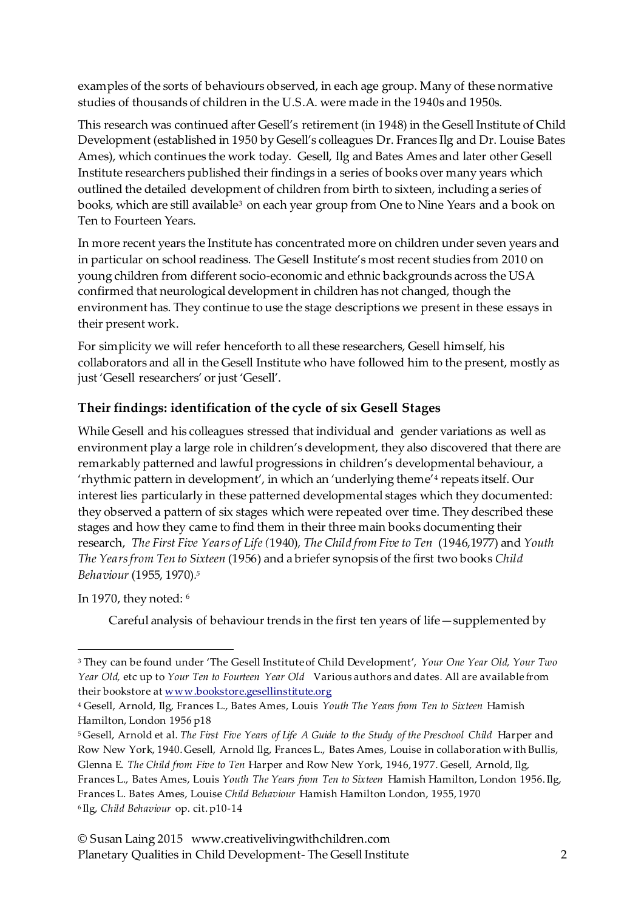examples of the sorts of behaviours observed, in each age group. Many of these normative studies of thousands of children in the U.S.A. were made in the 1940s and 1950s.

This research was continued after Gesell's retirement (in 1948) in the Gesell Institute of Child Development (established in 1950 by Gesell's colleagues Dr. Frances Ilg and Dr. Louise Bates Ames), which continues the work today. Gesell, Ilg and Bates Ames and later other Gesell Institute researchers published their findings in a series of books over many years which outlined the detailed development of children from birth to sixteen, including a series of books, which are still available<sup>3</sup> on each year group from One to Nine Years and a book on Ten to Fourteen Years.

In more recent years the Institute has concentrated more on children under seven years and in particular on school readiness. The Gesell Institute's most recent studies from 2010 on young children from different socio-economic and ethnic backgrounds across the USA confirmed that neurological development in children has not changed, though the environment has. They continue to use the stage descriptions we present in these essays in their present work.

For simplicity we will refer henceforth to all these researchers, Gesell himself, his collaborators and all in the Gesell Institute who have followed him to the present, mostly as just 'Gesell researchers' or just 'Gesell'.

### **Their findings: identification of the cycle of six Gesell Stages**

While Gesell and his colleagues stressed that individual and gender variations as well as environment play a large role in children's development, they also discovered that there are remarkably patterned and lawful progressions in children's developmental behaviour, a 'rhythmic pattern in development', in which an 'underlying theme'<sup>4</sup> repeats itself. Our interest lies particularly in these patterned developmental stages which they documented: they observed a pattern of six stages which were repeated over time. They described these stages and how they came to find them in their three main books documenting their research, *The First Five Years of Life (*1940)*, The Child from Five to Ten* (1946,1977) and *Youth The Years from Ten to Sixteen* (1956) and a briefer synopsis of the first two books *Child Behaviour* (1955, 1970)*. 5*

#### In 1970, they noted: <sup>6</sup>

 $\overline{a}$ 

Careful analysis of behaviour trends in the first ten years of life—supplemented by

<sup>3</sup> They can be found under 'The Gesell Institute of Child Development', *Your One Year Old, Your Two Year Old,* etc up to *Your Ten to Fourteen Year Old* Various authors and dates*.* All are available from their bookstore a[t www.bookstore.gesellinstitute.org](http://www.bookstore.gesellinstitute.org/)

<sup>4</sup> Gesell, Arnold, Ilg, Frances L., Bates Ames, Louis *Youth The Years from Ten to Sixteen* Hamish Hamilton, London 1956 p18

<sup>&</sup>lt;sup>5</sup> Gesell, Arnold et al. The First Five Years of Life A Guide to the Study of the Preschool Child Harper and Row New York, 1940. Gesell, Arnold Ilg, Frances L., Bates Ames, Louise in collaboration with Bullis, Glenna E. *The Child from Five to Ten* Harper and Row New York, 1946, 1977. Gesell, Arnold, Ilg, Frances L., Bates Ames, Louis *Youth The Years from Ten to Sixteen* Hamish Hamilton, London 1956. Ilg, Frances L. Bates Ames, Louise *Child Behaviour* Hamish Hamilton London, 1955, 1970 <sup>6</sup> Ilg, *Child Behaviour* op. cit. p10-14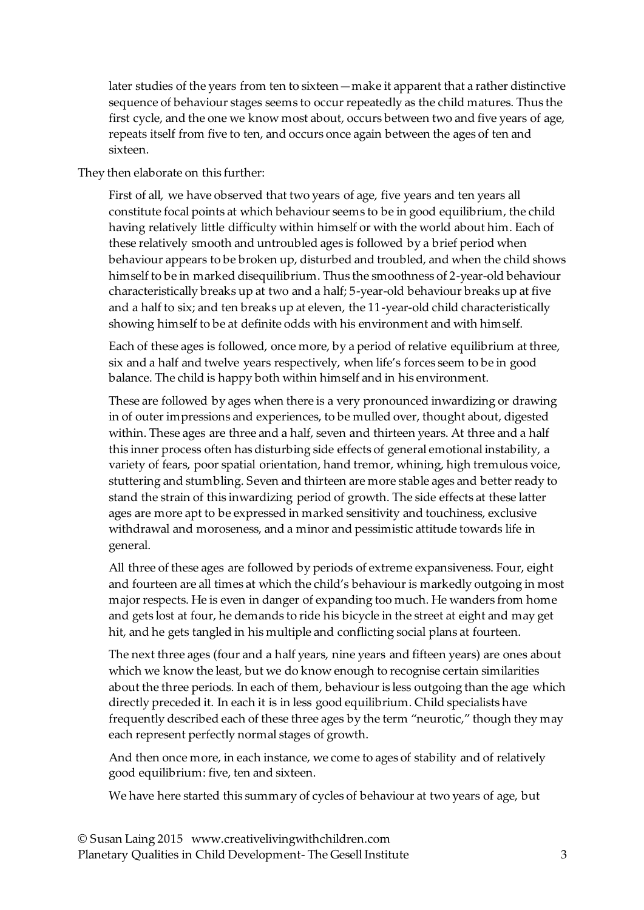later studies of the years from ten to sixteen—make it apparent that a rather distinctive sequence of behaviour stages seems to occur repeatedly as the child matures. Thus the first cycle, and the one we know most about, occurs between two and five years of age, repeats itself from five to ten, and occurs once again between the ages of ten and sixteen.

They then elaborate on this further:

First of all, we have observed that two years of age, five years and ten years all constitute focal points at which behaviour seems to be in good equilibrium, the child having relatively little difficulty within himself or with the world about him. Each of these relatively smooth and untroubled ages is followed by a brief period when behaviour appears to be broken up, disturbed and troubled, and when the child shows himself to be in marked disequilibrium. Thus the smoothness of 2-year-old behaviour characteristically breaks up at two and a half; 5-year-old behaviour breaks up at five and a half to six; and ten breaks up at eleven, the 11-year-old child characteristically showing himself to be at definite odds with his environment and with himself.

Each of these ages is followed, once more, by a period of relative equilibrium at three, six and a half and twelve years respectively, when life's forces seem to be in good balance. The child is happy both within himself and in his environment.

These are followed by ages when there is a very pronounced inwardizing or drawing in of outer impressions and experiences, to be mulled over, thought about, digested within. These ages are three and a half, seven and thirteen years. At three and a half this inner process often has disturbing side effects of general emotional instability, a variety of fears, poor spatial orientation, hand tremor, whining, high tremulous voice, stuttering and stumbling. Seven and thirteen are more stable ages and better ready to stand the strain of this inwardizing period of growth. The side effects at these latter ages are more apt to be expressed in marked sensitivity and touchiness, exclusive withdrawal and moroseness, and a minor and pessimistic attitude towards life in general.

All three of these ages are followed by periods of extreme expansiveness. Four, eight and fourteen are all times at which the child's behaviour is markedly outgoing in most major respects. He is even in danger of expanding too much. He wanders from home and gets lost at four, he demands to ride his bicycle in the street at eight and may get hit, and he gets tangled in his multiple and conflicting social plans at fourteen.

The next three ages (four and a half years, nine years and fifteen years) are ones about which we know the least, but we do know enough to recognise certain similarities about the three periods. In each of them, behaviour is less outgoing than the age which directly preceded it. In each it is in less good equilibrium. Child specialists have frequently described each of these three ages by the term "neurotic," though they may each represent perfectly normal stages of growth.

And then once more, in each instance, we come to ages of stability and of relatively good equilibrium: five, ten and sixteen.

We have here started this summary of cycles of behaviour at two years of age, but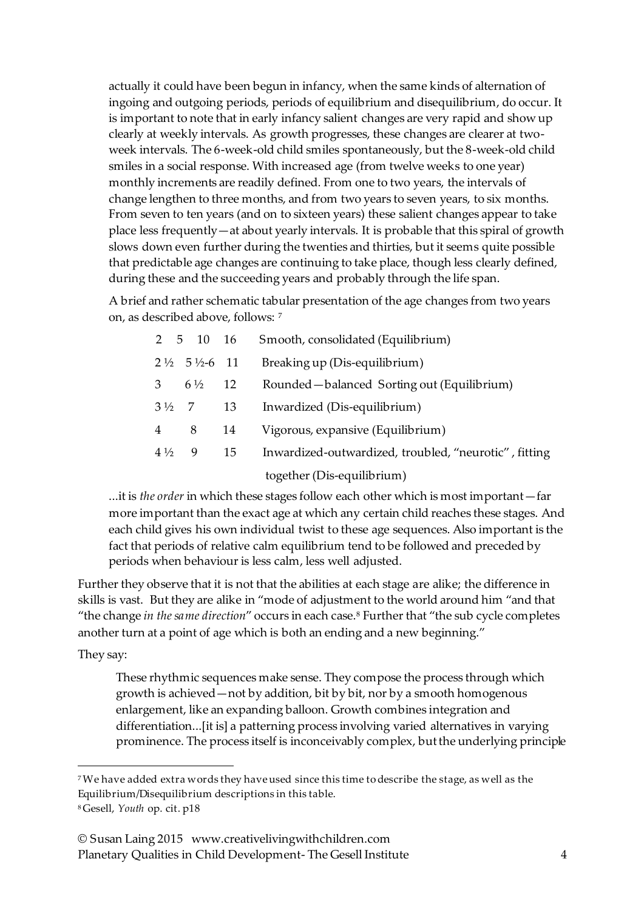actually it could have been begun in infancy, when the same kinds of alternation of ingoing and outgoing periods, periods of equilibrium and disequilibrium, do occur. It is important to note that in early infancy salient changes are very rapid and show up clearly at weekly intervals. As growth progresses, these changes are clearer at twoweek intervals. The 6-week-old child smiles spontaneously, but the 8-week-old child smiles in a social response. With increased age (from twelve weeks to one year) monthly increments are readily defined. From one to two years, the intervals of change lengthen to three months, and from two years to seven years, to six months. From seven to ten years (and on to sixteen years) these salient changes appear to take place less frequently—at about yearly intervals. It is probable that this spiral of growth slows down even further during the twenties and thirties, but it seems quite possible that predictable age changes are continuing to take place, though less clearly defined, during these and the succeeding years and probably through the life span.

A brief and rather schematic tabular presentation of the age changes from two years on, as described above, follows: <sup>7</sup>

|                  | 2 5 10 16                            |     | Smooth, consolidated (Equilibrium)                    |
|------------------|--------------------------------------|-----|-------------------------------------------------------|
|                  | $2\frac{1}{2}$ 5 $\frac{1}{2}$ -6 11 |     | Breaking up (Dis-equilibrium)                         |
| $\mathbf{3}$     | $6\frac{1}{2}$                       | -12 | Rounded-balanced Sorting out (Equilibrium)            |
| $3\frac{1}{2}$ 7 |                                      | -13 | Inwardized (Dis-equilibrium)                          |
| 4                | 8                                    | 14  | Vigorous, expansive (Equilibrium)                     |
| $4\frac{1}{2}$   | - 9                                  | 15  | Inwardized-outwardized, troubled, "neurotic", fitting |
|                  |                                      |     |                                                       |

together (Dis-equilibrium)

...it is *the order* in which these stages follow each other which is most important—far more important than the exact age at which any certain child reaches these stages. And each child gives his own individual twist to these age sequences. Also important is the fact that periods of relative calm equilibrium tend to be followed and preceded by periods when behaviour is less calm, less well adjusted.

Further they observe that it is not that the abilities at each stage are alike; the difference in skills is vast. But they are alike in "mode of adjustment to the world around him "and that "the change *in the same direction*" occurs in each case.<sup>8</sup> Further that "the sub cycle completes another turn at a point of age which is both an ending and a new beginning."

#### They say:

 $\overline{a}$ 

These rhythmic sequences make sense. They compose the process through which growth is achieved—not by addition, bit by bit, nor by a smooth homogenous enlargement, like an expanding balloon. Growth combines integration and differentiation...[it is] a patterning process involving varied alternatives in varying prominence. The process itself is inconceivably complex, but the underlying principle

<sup>7</sup>We have added extra words they have used since this time to describe the stage, as well as the Equilibrium/Disequilibrium descriptions in this table. <sup>8</sup> Gesell, *Youth* op. cit. p18

<sup>©</sup> Susan Laing 2015 www.creativelivingwithchildren.com Planetary Qualities in Child Development- The Gesell Institute 4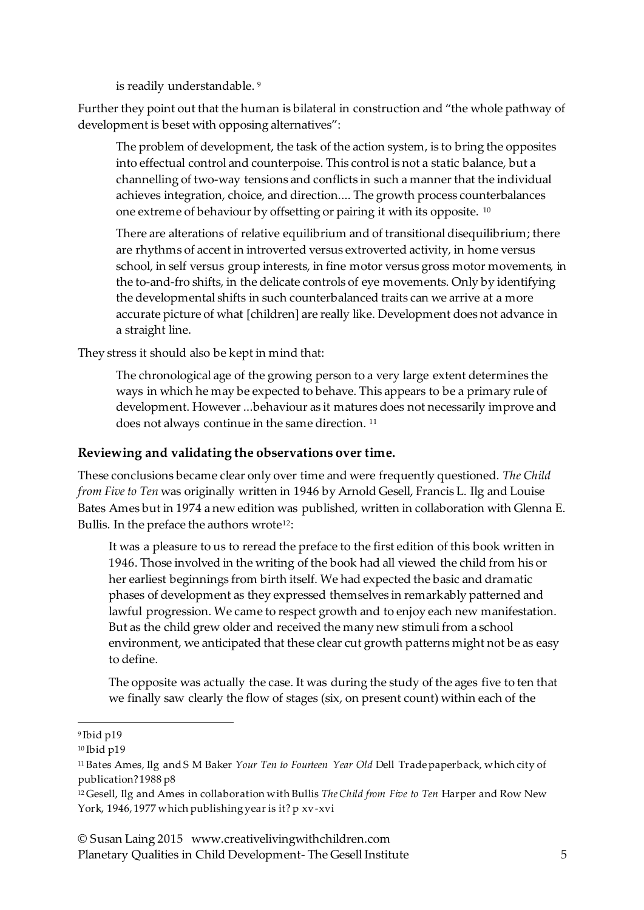is readily understandable. 9

Further they point out that the human is bilateral in construction and "the whole pathway of development is beset with opposing alternatives":

The problem of development, the task of the action system, is to bring the opposites into effectual control and counterpoise. This control is not a static balance, but a channelling of two-way tensions and conflicts in such a manner that the individual achieves integration, choice, and direction.... The growth process counterbalances one extreme of behaviour by offsetting or pairing it with its opposite. <sup>10</sup>

There are alterations of relative equilibrium and of transitional disequilibrium; there are rhythms of accent in introverted versus extroverted activity, in home versus school, in self versus group interests, in fine motor versus gross motor movements, in the to-and-fro shifts, in the delicate controls of eye movements. Only by identifying the developmental shifts in such counterbalanced traits can we arrive at a more accurate picture of what [children] are really like. Development does not advance in a straight line.

They stress it should also be kept in mind that:

The chronological age of the growing person to a very large extent determines the ways in which he may be expected to behave. This appears to be a primary rule of development. However ...behaviour as it matures does not necessarily improve and does not always continue in the same direction.<sup>11</sup>

#### **Reviewing and validating the observations over time.**

These conclusions became clear only over time and were frequently questioned. *The Child from Five to Ten* was originally written in 1946 by Arnold Gesell, Francis L. Ilg and Louise Bates Ames but in 1974 a new edition was published, written in collaboration with Glenna E. Bullis. In the preface the authors wrote<sup>12</sup>:

It was a pleasure to us to reread the preface to the first edition of this book written in 1946. Those involved in the writing of the book had all viewed the child from his or her earliest beginnings from birth itself. We had expected the basic and dramatic phases of development as they expressed themselves in remarkably patterned and lawful progression. We came to respect growth and to enjoy each new manifestation. But as the child grew older and received the many new stimuli from a school environment, we anticipated that these clear cut growth patterns might not be as easy to define.

The opposite was actually the case. It was during the study of the ages five to ten that we finally saw clearly the flow of stages (six, on present count) within each of the

 $\overline{a}$ 

<sup>9</sup> Ibid p19

<sup>&</sup>lt;sup>10</sup> Ibid p19

<sup>11</sup> Bates Ames, Ilg and S M Baker *Your Ten to Fourteen Year Old* Dell Trade paperback, which city of publication? 1988 p8

<sup>12</sup> Gesell, Ilg and Ames in collaboration with Bullis *The Child from Five to Ten* Harper and Row New York, 1946, 1977 which publishing year is it? p xv-xvi

<sup>©</sup> Susan Laing 2015 www.creativelivingwithchildren.com Planetary Qualities in Child Development- The Gesell Institute 5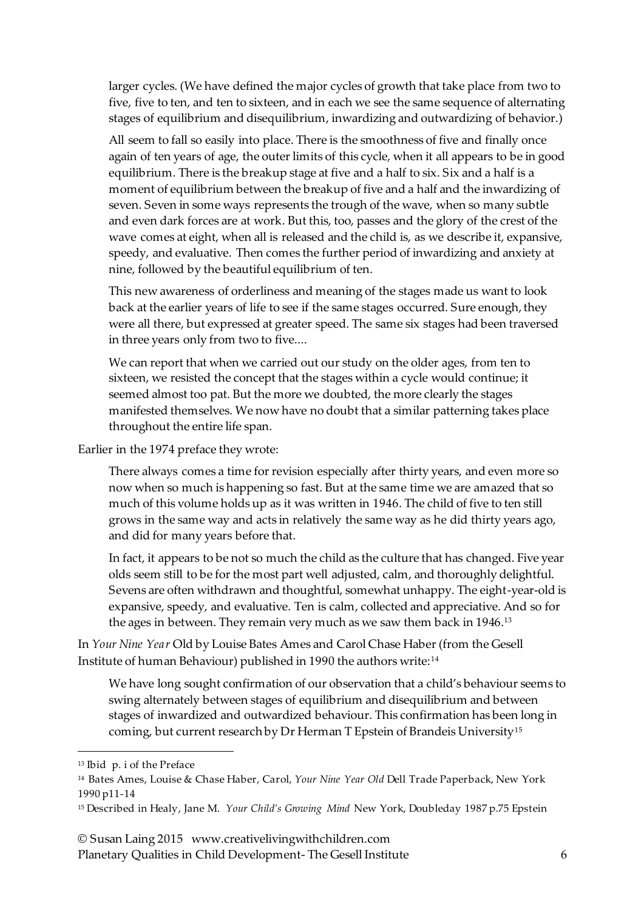larger cycles. (We have defined the major cycles of growth that take place from two to five, five to ten, and ten to sixteen, and in each we see the same sequence of alternating stages of equilibrium and disequilibrium, inwardizing and outwardizing of behavior.)

All seem to fall so easily into place. There is the smoothness of five and finally once again of ten years of age, the outer limits of this cycle, when it all appears to be in good equilibrium. There is the breakup stage at five and a half to six. Six and a half is a moment of equilibrium between the breakup of five and a half and the inwardizing of seven. Seven in some ways represents the trough of the wave, when so many subtle and even dark forces are at work. But this, too, passes and the glory of the crest of the wave comes at eight, when all is released and the child is, as we describe it, expansive, speedy, and evaluative. Then comes the further period of inwardizing and anxiety at nine, followed by the beautiful equilibrium of ten.

This new awareness of orderliness and meaning of the stages made us want to look back at the earlier years of life to see if the same stages occurred. Sure enough, they were all there, but expressed at greater speed. The same six stages had been traversed in three years only from two to five....

We can report that when we carried out our study on the older ages, from ten to sixteen, we resisted the concept that the stages within a cycle would continue; it seemed almost too pat. But the more we doubted, the more clearly the stages manifested themselves. We now have no doubt that a similar patterning takes place throughout the entire life span.

Earlier in the 1974 preface they wrote:

There always comes a time for revision especially after thirty years, and even more so now when so much is happening so fast. But at the same time we are amazed that so much of this volume holds up as it was written in 1946. The child of five to ten still grows in the same way and acts in relatively the same way as he did thirty years ago, and did for many years before that.

In fact, it appears to be not so much the child as the culture that has changed. Five year olds seem still to be for the most part well adjusted, calm, and thoroughly delightful. Sevens are often withdrawn and thoughtful, somewhat unhappy. The eight-year-old is expansive, speedy, and evaluative. Ten is calm, collected and appreciative. And so for the ages in between. They remain very much as we saw them back in 1946.<sup>13</sup>

In *Your Nine Year* Old by Louise Bates Ames and Carol Chase Haber (from the Gesell Institute of human Behaviour) published in 1990 the authors write:<sup>14</sup>

We have long sought confirmation of our observation that a child's behaviour seems to swing alternately between stages of equilibrium and disequilibrium and between stages of inwardized and outwardized behaviour. This confirmation has been long in coming, but current research by Dr Herman T Epstein of Brandeis University<sup>15</sup>

 $\overline{a}$ 

© Susan Laing 2015 www.creativelivingwithchildren.com

Planetary Qualities in Child Development- The Gesell Institute 6

<sup>13</sup> Ibid p. i of the Preface

<sup>14</sup> Bates Ames, Louise & Chase Haber, Carol, *Your Nine Year Old* Dell Trade Paperback, New York 1990 p11-14

<sup>15</sup> Described in Healy, Jane M. *Your Child's Growing Mind* New York, Doubleday 1987 p.75 Epstein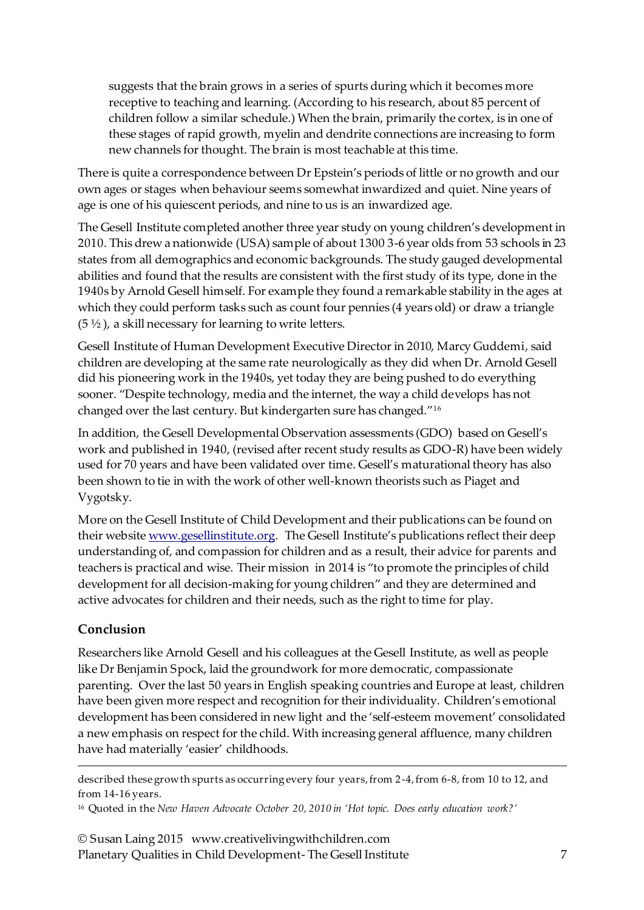suggests that the brain grows in a series of spurts during which it becomes more receptive to teaching and learning. (According to his research, about 85 percent of children follow a similar schedule.) When the brain, primarily the cortex, is in one of these stages of rapid growth, myelin and dendrite connections are increasing to form new channels for thought. The brain is most teachable at this time.

There is quite a correspondence between Dr Epstein's periods of little or no growth and our own ages or stages when behaviour seems somewhat inwardized and quiet. Nine years of age is one of his quiescent periods, and nine to us is an inwardized age.

The Gesell Institute completed another three year study on young children's development in 2010. This drew a nationwide (USA) sample of about 1300 3-6 year olds from 53 schools in 23 states from all demographics and economic backgrounds. The study gauged developmental abilities and found that the results are consistent with the first study of its type, done in the 1940s by Arnold Gesell himself. For example they found a remarkable stability in the ages at which they could perform tasks such as count four pennies (4 years old) or draw a triangle  $(5 \frac{1}{2})$ , a skill necessary for learning to write letters.

Gesell Institute of Human Development Executive Director in 2010, Marcy Guddemi, said children are developing at the same rate neurologically as they did when Dr. Arnold Gesell did his pioneering work in the 1940s, yet today they are being pushed to do everything sooner. "Despite technology, media and the internet, the way a child develops has not changed over the last century. But kindergarten sure has changed."<sup>16</sup>

In addition, the Gesell Developmental Observation assessments (GDO) based on Gesell's work and published in 1940, (revised after recent study results as GDO-R) have been widely used for 70 years and have been validated over time. Gesell's maturational theory has also been shown to tie in with the work of other well-known theorists such as Piaget and Vygotsky.

More on the Gesell Institute of Child Development and their publications can be found on their websit[e www.gesellinstitute.org.](http://www.gesellinstitute.org/) The Gesell Institute's publications reflect their deep understanding of, and compassion for children and as a result, their advice for parents and teachers is practical and wise. Their mission in 2014 is "to promote the principles of child development for all decision-making for young children" and they are determined and active advocates for children and their needs, such as the right to time for play.

#### **Conclusion**

 $\overline{a}$ 

Researchers like Arnold Gesell and his colleagues at the Gesell Institute, as well as people like Dr Benjamin Spock, laid the groundwork for more democratic, compassionate parenting. Over the last 50 years in English speaking countries and Europe at least, children have been given more respect and recognition for their individuality. Children's emotional development has been considered in new light and the 'self-esteem movement' consolidated a new emphasis on respect for the child. With increasing general affluence, many children have had materially 'easier' childhoods.

© Susan Laing 2015 www.creativelivingwithchildren.com Planetary Qualities in Child Development- The Gesell Institute 7

described these growth spurts as occurring every four years, from 2-4, from 6-8, from 10 to 12, and from 14-16 years.

<sup>16</sup> Quoted in the *New Haven Advocate October 20, 2010 in 'Hot topic. Does early education work?'*